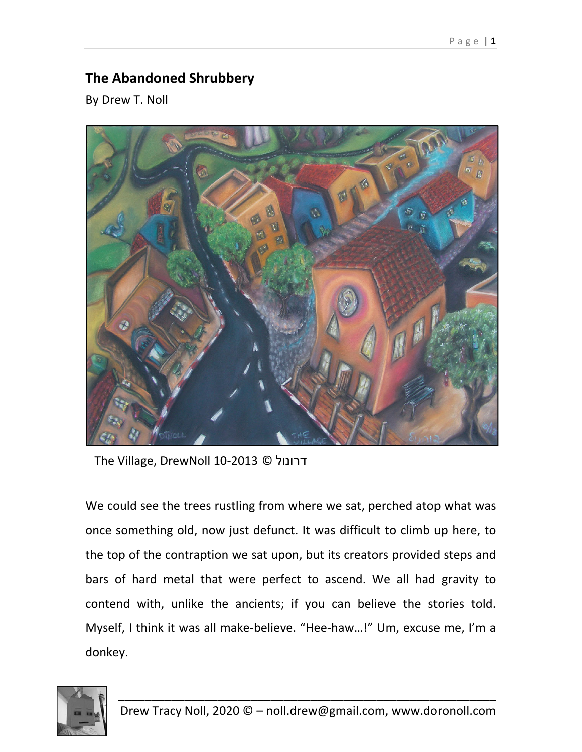## **The Abandoned Shrubbery**

By Drew T. Noll



The Village, DrewNoll 10‐2013 © דרונול

We could see the trees rustling from where we sat, perched atop what was once something old, now just defunct. It was difficult to climb up here, to the top of the contraption we sat upon, but its creators provided steps and bars of hard metal that were perfect to ascend. We all had gravity to contend with, unlike the ancients; if you can believe the stories told. Myself, I think it was all make‐believe. "Hee‐haw…!" Um, excuse me, I'm a donkey.

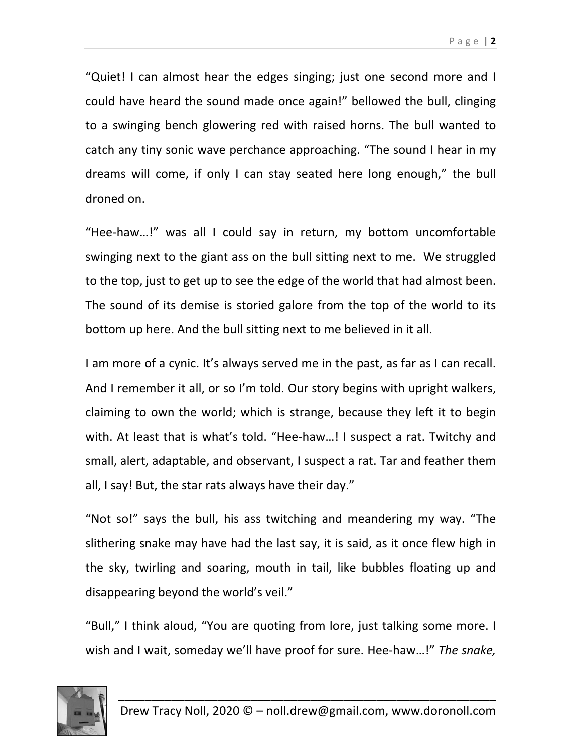"Quiet! I can almost hear the edges singing; just one second more and I could have heard the sound made once again!" bellowed the bull, clinging to a swinging bench glowering red with raised horns. The bull wanted to catch any tiny sonic wave perchance approaching. "The sound I hear in my dreams will come, if only I can stay seated here long enough," the bull droned on.

"Hee‐haw…!" was all I could say in return, my bottom uncomfortable swinging next to the giant ass on the bull sitting next to me. We struggled to the top, just to get up to see the edge of the world that had almost been. The sound of its demise is storied galore from the top of the world to its bottom up here. And the bull sitting next to me believed in it all.

I am more of a cynic. It's always served me in the past, as far as I can recall. And I remember it all, or so I'm told. Our story begins with upright walkers, claiming to own the world; which is strange, because they left it to begin with. At least that is what's told. "Hee-haw...! I suspect a rat. Twitchy and small, alert, adaptable, and observant, I suspect a rat. Tar and feather them all, I say! But, the star rats always have their day."

"Not so!" says the bull, his ass twitching and meandering my way. "The slithering snake may have had the last say, it is said, as it once flew high in the sky, twirling and soaring, mouth in tail, like bubbles floating up and disappearing beyond the world's veil."

"Bull," I think aloud, "You are quoting from lore, just talking some more. I wish and I wait, someday we'll have proof for sure. Hee‐haw…!" *The snake,*

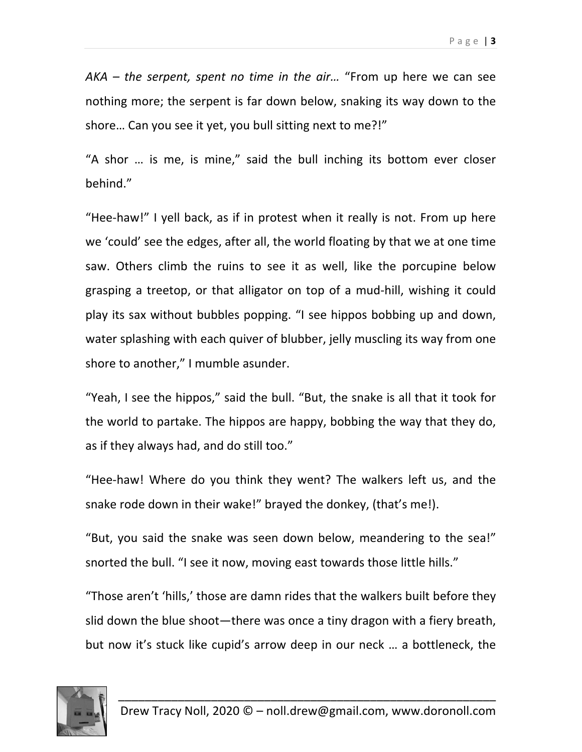*AKA – the serpent, spent no time in the air…* "From up here we can see nothing more; the serpent is far down below, snaking its way down to the shore… Can you see it yet, you bull sitting next to me?!"

"A shor … is me, is mine," said the bull inching its bottom ever closer behind."

"Hee‐haw!" I yell back, as if in protest when it really is not. From up here we 'could' see the edges, after all, the world floating by that we at one time saw. Others climb the ruins to see it as well, like the porcupine below grasping a treetop, or that alligator on top of a mud‐hill, wishing it could play its sax without bubbles popping. "I see hippos bobbing up and down, water splashing with each quiver of blubber, jelly muscling its way from one shore to another," I mumble asunder.

"Yeah, I see the hippos," said the bull. "But, the snake is all that it took for the world to partake. The hippos are happy, bobbing the way that they do, as if they always had, and do still too."

"Hee‐haw! Where do you think they went? The walkers left us, and the snake rode down in their wake!" brayed the donkey, (that's me!).

"But, you said the snake was seen down below, meandering to the sea!" snorted the bull. "I see it now, moving east towards those little hills."

"Those aren't 'hills,' those are damn rides that the walkers built before they slid down the blue shoot—there was once a tiny dragon with a fiery breath, but now it's stuck like cupid's arrow deep in our neck … a bottleneck, the

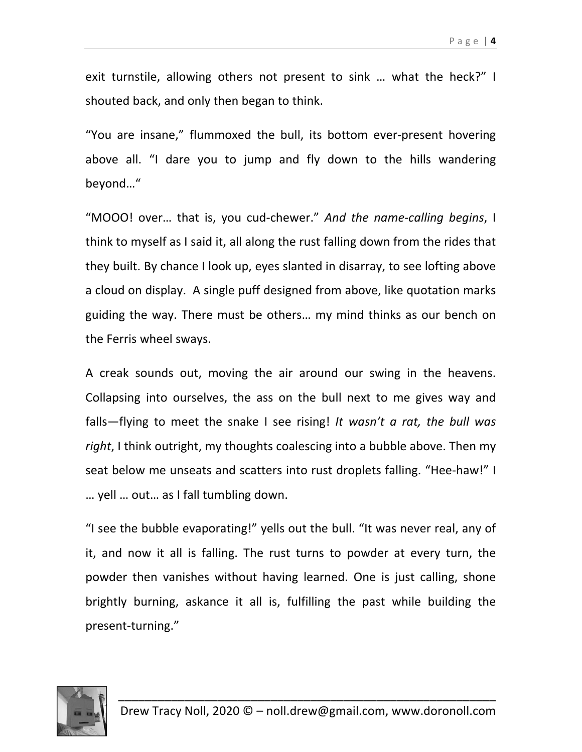exit turnstile, allowing others not present to sink … what the heck?" I shouted back, and only then began to think.

"You are insane," flummoxed the bull, its bottom ever‐present hovering above all. "I dare you to jump and fly down to the hills wandering beyond…"

"MOOO! over… that is, you cud‐chewer." *And the name‐calling begins*, I think to myself as I said it, all along the rust falling down from the rides that they built. By chance I look up, eyes slanted in disarray, to see lofting above a cloud on display. A single puff designed from above, like quotation marks guiding the way. There must be others… my mind thinks as our bench on the Ferris wheel sways.

A creak sounds out, moving the air around our swing in the heavens. Collapsing into ourselves, the ass on the bull next to me gives way and falls—flying to meet the snake I see rising! *It wasn't a rat, the bull was right*, I think outright, my thoughts coalescing into a bubble above. Then my seat below me unseats and scatters into rust droplets falling. "Hee-haw!" I … yell … out… as I fall tumbling down.

"I see the bubble evaporating!" yells out the bull. "It was never real, any of it, and now it all is falling. The rust turns to powder at every turn, the powder then vanishes without having learned. One is just calling, shone brightly burning, askance it all is, fulfilling the past while building the present‐turning."